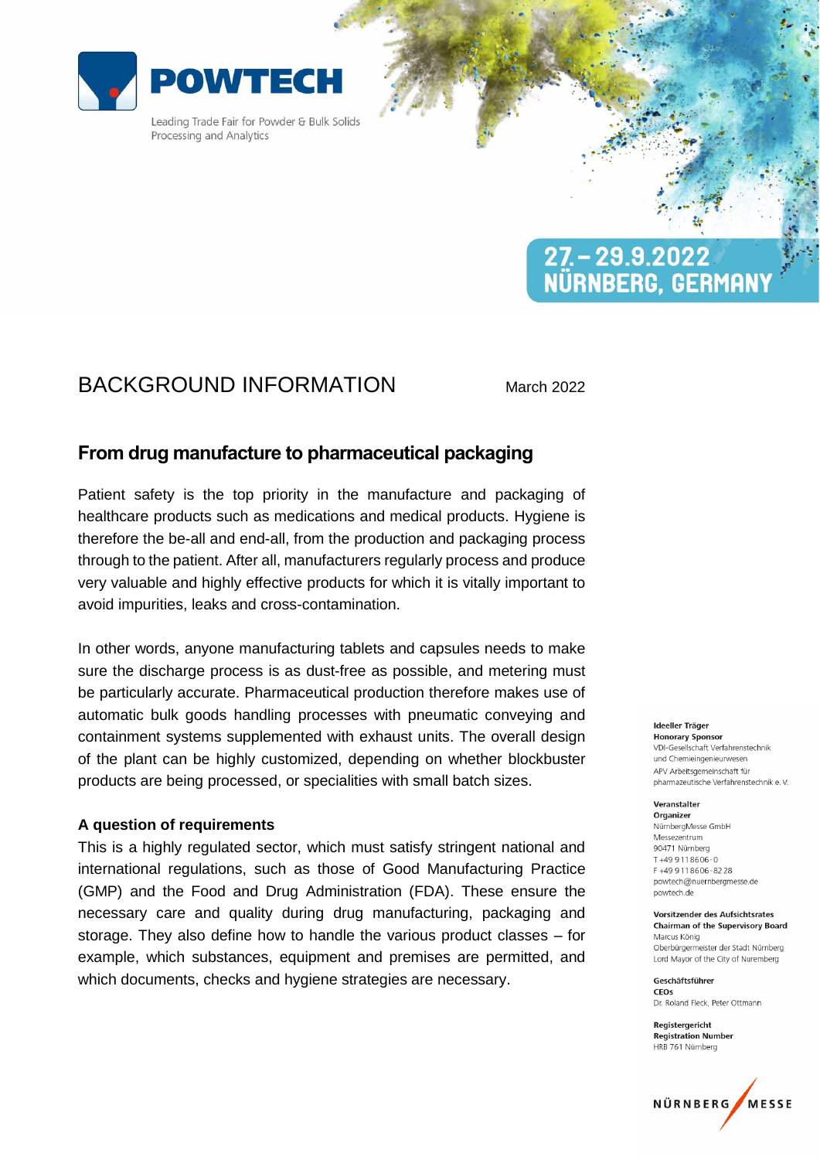

Leading Trade Fair for Powder & Bulk Solids Processing and Analytics

# $27 - 29.9.2022$ NÜRNBERG, GERMANY

## BACKGROUND INFORMATION March 2022

## **From drug manufacture to pharmaceutical packaging**

Patient safety is the top priority in the manufacture and packaging of healthcare products such as medications and medical products. Hygiene is therefore the be-all and end-all, from the production and packaging process through to the patient. After all, manufacturers regularly process and produce very valuable and highly effective products for which it is vitally important to avoid impurities, leaks and cross-contamination.

In other words, anyone manufacturing tablets and capsules needs to make sure the discharge process is as dust-free as possible, and metering must be particularly accurate. Pharmaceutical production therefore makes use of automatic bulk goods handling processes with pneumatic conveying and containment systems supplemented with exhaust units. The overall design of the plant can be highly customized, depending on whether blockbuster products are being processed, or specialities with small batch sizes.

### **A question of requirements**

This is a highly regulated sector, which must satisfy stringent national and international regulations, such as those of Good Manufacturing Practice (GMP) and the Food and Drug Administration (FDA). These ensure the necessary care and quality during drug manufacturing, packaging and storage. They also define how to handle the various product classes – for example, which substances, equipment and premises are permitted, and which documents, checks and hygiene strategies are necessary.

#### Ideeller Träger

**Honorary Sponsor** VDI-Gesellschaft Verfahrenstechnik und Chemieingenieurweser APV Arbeitsgemeinschaft für pharmazeutische Verfahrenstechnik e.V.

### Veranstalter

Organizer NürnbergMesse GmbH Messezentrum 90471 Nürnberg  $T + 499118606 - 0$ F+499118606-8228 powtech@nuernbergmesse.de powtech.de

#### Vorsitzender des Aufsichtsrates **Chairman of the Supervisory Board** Marcus König Oberbürgermeister der Stadt Nürnberg

Lord Mayor of the City of Nuremberg Geschäftsführer

CEOS Dr. Roland Fleck, Peter Ottmann

Reaisteraericht **Registration Number** HRB 761 Nürnberg

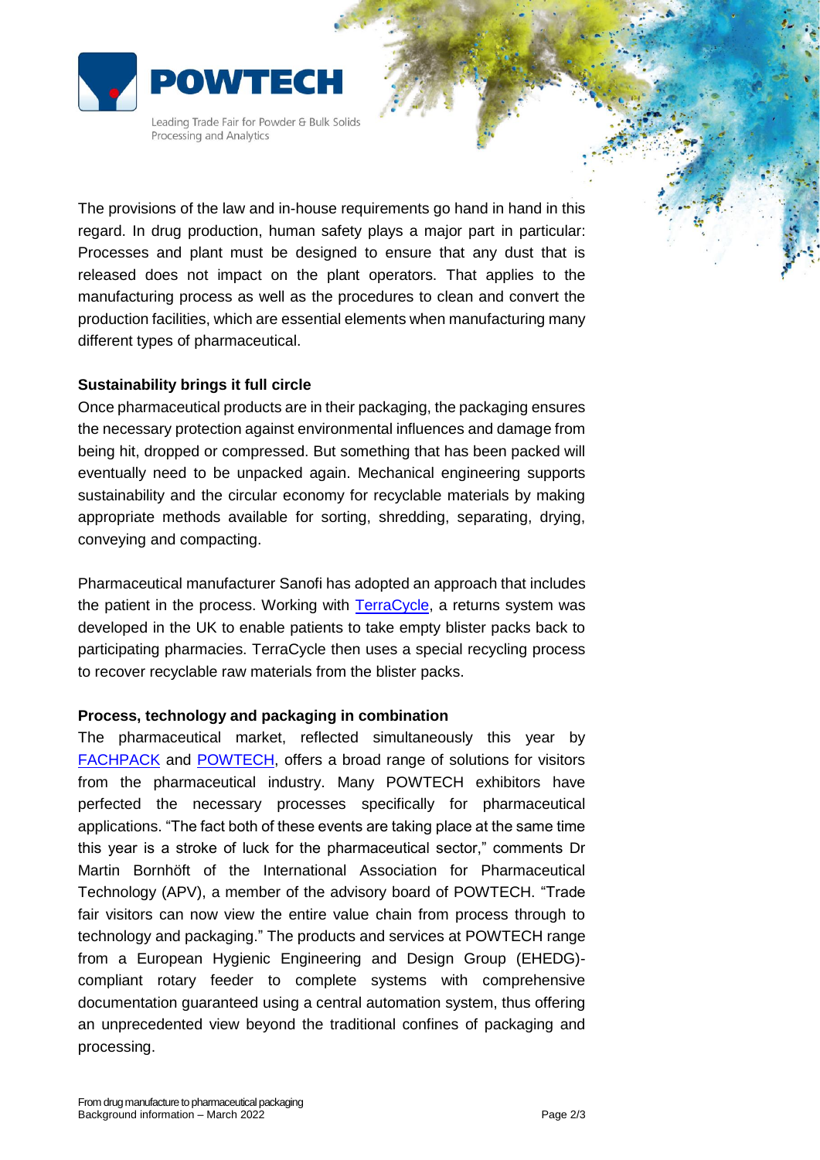

Leading Trade Fair for Powder & Bulk Solids Processing and Analytics

The provisions of the law and in-house requirements go hand in hand in this regard. In drug production, human safety plays a major part in particular: Processes and plant must be designed to ensure that any dust that is released does not impact on the plant operators. That applies to the manufacturing process as well as the procedures to clean and convert the production facilities, which are essential elements when manufacturing many different types of pharmaceutical.

## **Sustainability brings it full circle**

Once pharmaceutical products are in their packaging, the packaging ensures the necessary protection against environmental influences and damage from being hit, dropped or compressed. But something that has been packed will eventually need to be unpacked again. Mechanical engineering supports sustainability and the circular economy for recyclable materials by making appropriate methods available for sorting, shredding, separating, drying, conveying and compacting.

Pharmaceutical manufacturer Sanofi has adopted an approach that includes the patient in the process. Working with [TerraCycle,](https://www.terracycle.com/de-DE/) a returns system was developed in the UK to enable patients to take empty blister packs back to participating pharmacies. TerraCycle then uses a special recycling process to recover recyclable raw materials from the blister packs.

## **Process, technology and packaging in combination**

The pharmaceutical market, reflected simultaneously this year by [FACHPACK](https://www.fachpack.de/en) and [POWTECH,](https://www.powtech.de/de) offers a broad range of solutions for visitors from the pharmaceutical industry. Many POWTECH exhibitors have perfected the necessary processes specifically for pharmaceutical applications. "The fact both of these events are taking place at the same time this year is a stroke of luck for the pharmaceutical sector," comments Dr Martin Bornhöft of the International Association for Pharmaceutical Technology (APV), a member of the advisory board of POWTECH. "Trade fair visitors can now view the entire value chain from process through to technology and packaging." The products and services at POWTECH range from a European Hygienic Engineering and Design Group (EHEDG) compliant rotary feeder to complete systems with comprehensive documentation guaranteed using a central automation system, thus offering an unprecedented view beyond the traditional confines of packaging and processing.